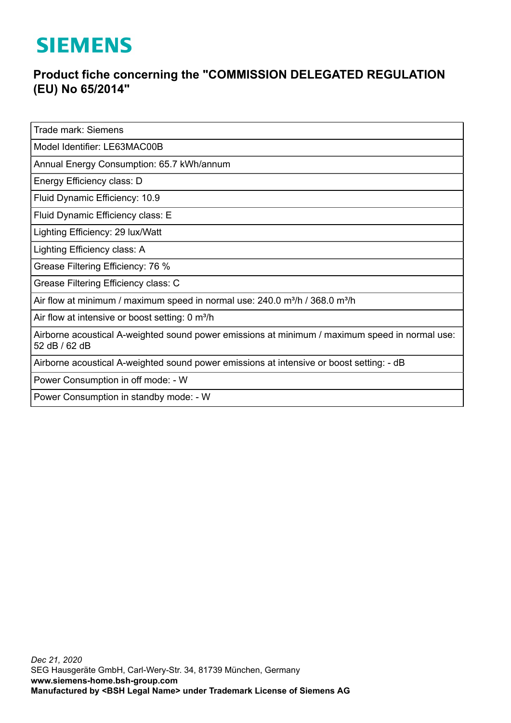## **SIEMENS**

## **Product fiche concerning the "COMMISSION DELEGATED REGULATION (EU) No 65/2014"**

Trade mark: Siemens

Model Identifier: LE63MAC00B

Annual Energy Consumption: 65.7 kWh/annum

Energy Efficiency class: D

Fluid Dynamic Efficiency: 10.9

Fluid Dynamic Efficiency class: E

Lighting Efficiency: 29 lux/Watt

Lighting Efficiency class: A

Grease Filtering Efficiency: 76 %

Grease Filtering Efficiency class: C

Air flow at minimum / maximum speed in normal use: 240.0 m<sup>3</sup>/h / 368.0 m<sup>3</sup>/h

Air flow at intensive or boost setting: 0 m<sup>3</sup>/h

Airborne acoustical A-weighted sound power emissions at minimum / maximum speed in normal use: 52 dB / 62 dB

Airborne acoustical A-weighted sound power emissions at intensive or boost setting: - dB

Power Consumption in off mode: - W

Power Consumption in standby mode: - W